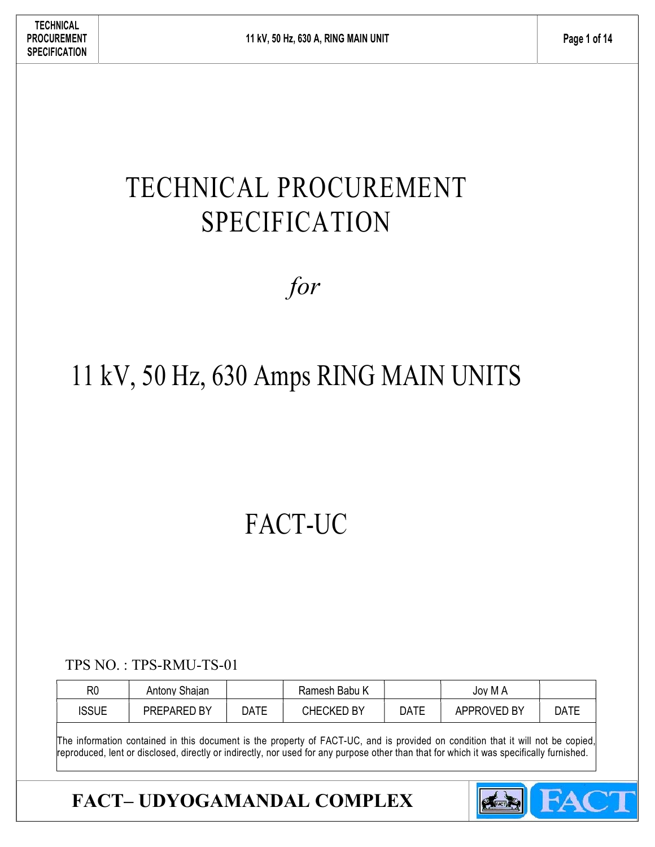# TECHNICAL PROCUREMENT SPECIFICATION

# for

# 11 kV, 50 Hz, 630 Amps RING MAIN UNITS

# FACT-UC

TPS NO. : TPS-RMU-TS-01

| R <sub>0</sub> | Antony Shajan |      | Ramesh Babu K     |             | Joy M A     |      |
|----------------|---------------|------|-------------------|-------------|-------------|------|
| <b>ISSUE</b>   | PREPARED BY   | DATE | <b>CHECKED BY</b> | <b>DATE</b> | APPROVED BY | DATE |

The information contained in this document is the property of FACT-UC, and is provided on condition that it will not be copied, reproduced, lent or disclosed, directly or indirectly, nor used for any purpose other than that for which it was specifically furnished.

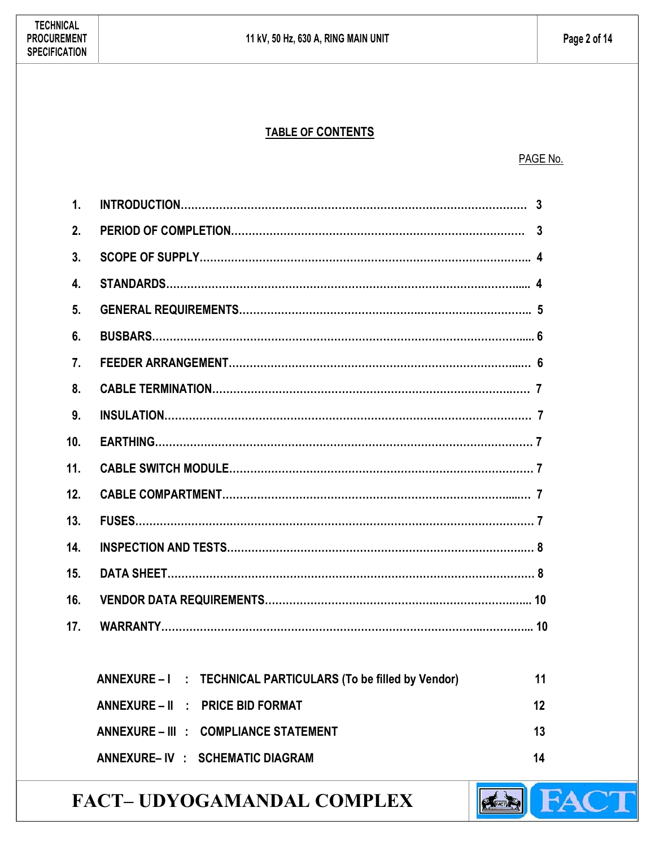#### TABLE OF CONTENTS

#### PAGE No.

| $\mathbf 1$        |                                                               |    |
|--------------------|---------------------------------------------------------------|----|
| 2.                 |                                                               |    |
| 3.                 |                                                               |    |
| $\boldsymbol{4}$ . |                                                               |    |
| 5 <sub>1</sub>     |                                                               |    |
| 6.                 |                                                               |    |
| 7 <sub>1</sub>     |                                                               |    |
| 8.                 |                                                               |    |
| 9.                 |                                                               |    |
| 10.                |                                                               |    |
| 11.                |                                                               |    |
| 12.                |                                                               |    |
| 13.                |                                                               |    |
| 14.                |                                                               |    |
| 15.                |                                                               |    |
| 16.                |                                                               |    |
| 17.                |                                                               |    |
|                    |                                                               |    |
|                    | ANNEXURE - I : TECHNICAL PARTICULARS (To be filled by Vendor) | 11 |
|                    | ANNEXURE - II : PRICE BID FORMAT                              | 12 |
|                    | ANNEXURE - III : COMPLIANCE STATEMENT                         | 13 |
|                    | ANNEXURE-IV : SCHEMATIC DIAGRAM                               | 14 |

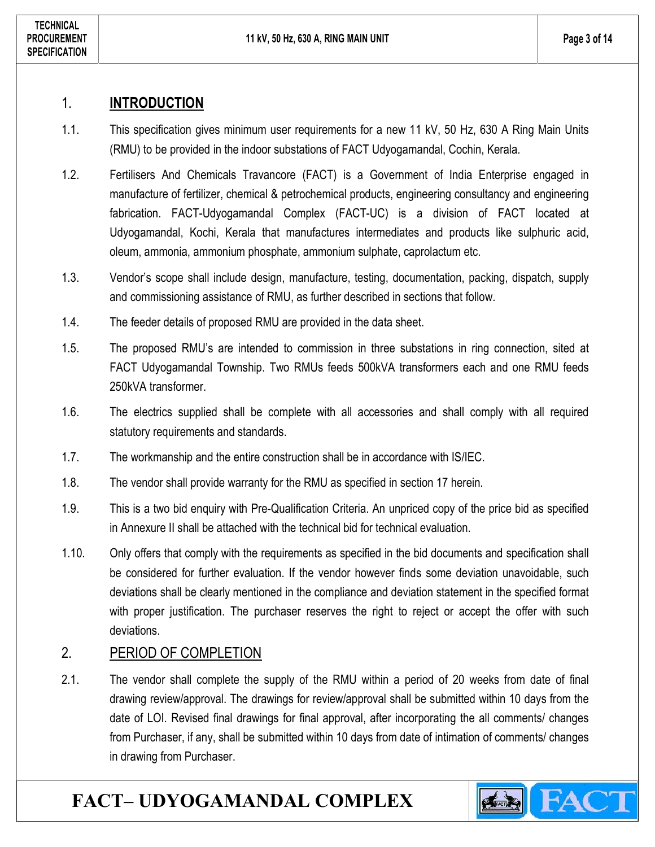#### 1. INTRODUCTION

- 1.1. This specification gives minimum user requirements for a new 11 kV, 50 Hz, 630 A Ring Main Units (RMU) to be provided in the indoor substations of FACT Udyogamandal, Cochin, Kerala.
- 1.2. Fertilisers And Chemicals Travancore (FACT) is a Government of India Enterprise engaged in manufacture of fertilizer, chemical & petrochemical products, engineering consultancy and engineering fabrication. FACT-Udyogamandal Complex (FACT-UC) is a division of FACT located at Udyogamandal, Kochi, Kerala that manufactures intermediates and products like sulphuric acid, oleum, ammonia, ammonium phosphate, ammonium sulphate, caprolactum etc.
- 1.3. Vendor's scope shall include design, manufacture, testing, documentation, packing, dispatch, supply and commissioning assistance of RMU, as further described in sections that follow.
- 1.4. The feeder details of proposed RMU are provided in the data sheet.
- 1.5. The proposed RMU's are intended to commission in three substations in ring connection, sited at FACT Udyogamandal Township. Two RMUs feeds 500kVA transformers each and one RMU feeds 250kVA transformer.
- 1.6. The electrics supplied shall be complete with all accessories and shall comply with all required statutory requirements and standards.
- 1.7. The workmanship and the entire construction shall be in accordance with IS/IEC.
- 1.8. The vendor shall provide warranty for the RMU as specified in section 17 herein.
- 1.9. This is a two bid enquiry with Pre-Qualification Criteria. An unpriced copy of the price bid as specified in Annexure II shall be attached with the technical bid for technical evaluation.
- 1.10. Only offers that comply with the requirements as specified in the bid documents and specification shall be considered for further evaluation. If the vendor however finds some deviation unavoidable, such deviations shall be clearly mentioned in the compliance and deviation statement in the specified format with proper justification. The purchaser reserves the right to reject or accept the offer with such deviations.

#### 2. PERIOD OF COMPLETION

2.1. The vendor shall complete the supply of the RMU within a period of 20 weeks from date of final drawing review/approval. The drawings for review/approval shall be submitted within 10 days from the date of LOI. Revised final drawings for final approval, after incorporating the all comments/ changes from Purchaser, if any, shall be submitted within 10 days from date of intimation of comments/ changes in drawing from Purchaser.

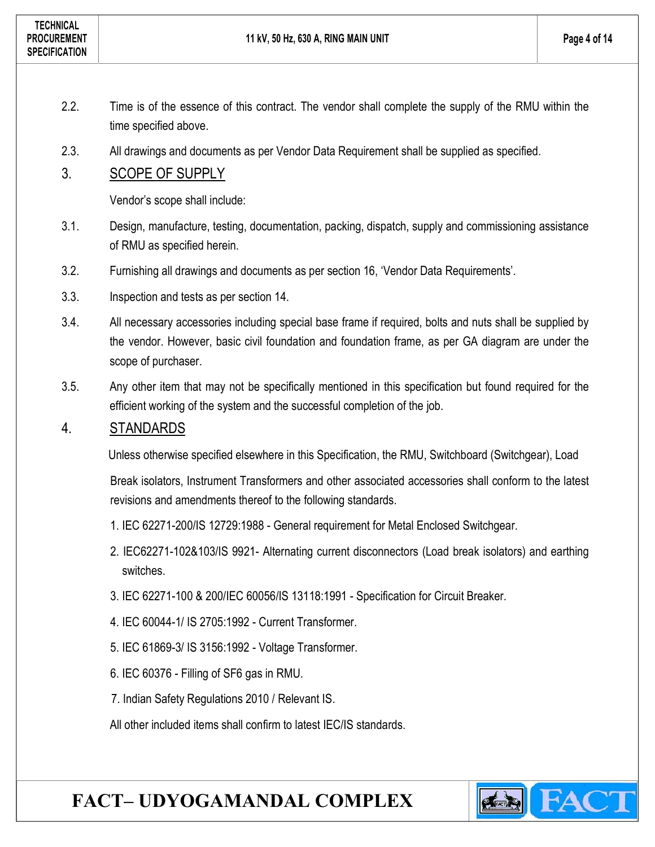- 2.2. Time is of the essence of this contract. The vendor shall complete the supply of the RMU within the time specified above.
- 2.3. All drawings and documents as per Vendor Data Requirement shall be supplied as specified.

#### 3. SCOPE OF SUPPLY

Vendor's scope shall include:

- 3.1. Design, manufacture, testing, documentation, packing, dispatch, supply and commissioning assistance of RMU as specified herein.
- 3.2. Furnishing all drawings and documents as per section 16, 'Vendor Data Requirements'.
- 3.3. Inspection and tests as per section 14.
- 3.4. All necessary accessories including special base frame if required, bolts and nuts shall be supplied by the vendor. However, basic civil foundation and foundation frame, as per GA diagram are under the scope of purchaser.
- 3.5. Any other item that may not be specifically mentioned in this specification but found required for the efficient working of the system and the successful completion of the job.

#### 4. STANDARDS

Unless otherwise specified elsewhere in this Specification, the RMU, Switchboard (Switchgear), Load

Break isolators, Instrument Transformers and other associated accessories shall conform to the latest revisions and amendments thereof to the following standards.

- 1. IEC 62271-200/IS 12729:1988 General requirement for Metal Enclosed Switchgear.
- 2. IEC62271-102&103/IS 9921- Alternating current disconnectors (Load break isolators) and earthing switches.
- 3. IEC 62271-100 & 200/IEC 60056/IS 13118:1991 Specification for Circuit Breaker.
- 4. IEC 60044-1/ IS 2705:1992 Current Transformer.
- 5. IEC 61869-3/ IS 3156:1992 Voltage Transformer.
- 6. IEC 60376 Filling of SF6 gas in RMU.
- 7. Indian Safety Regulations 2010 / Relevant IS.

All other included items shall confirm to latest IEC/IS standards.

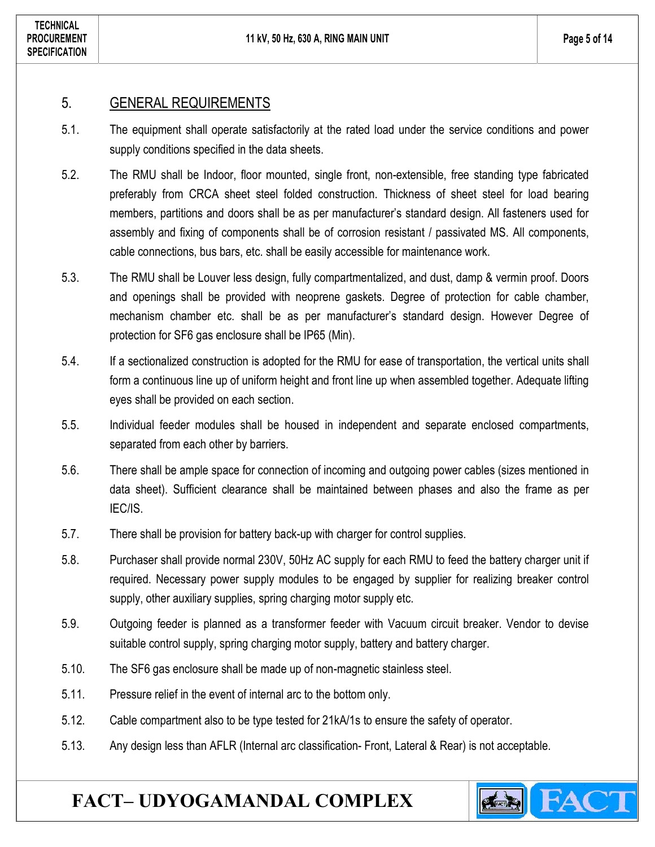**FACT** 

#### 5. GENERAL REQUIREMENTS

- 5.1. The equipment shall operate satisfactorily at the rated load under the service conditions and power supply conditions specified in the data sheets.
- 5.2. The RMU shall be Indoor, floor mounted, single front, non-extensible, free standing type fabricated preferably from CRCA sheet steel folded construction. Thickness of sheet steel for load bearing members, partitions and doors shall be as per manufacturer's standard design. All fasteners used for assembly and fixing of components shall be of corrosion resistant / passivated MS. All components, cable connections, bus bars, etc. shall be easily accessible for maintenance work.
- 5.3. The RMU shall be Louver less design, fully compartmentalized, and dust, damp & vermin proof. Doors and openings shall be provided with neoprene gaskets. Degree of protection for cable chamber, mechanism chamber etc. shall be as per manufacturer's standard design. However Degree of protection for SF6 gas enclosure shall be IP65 (Min).
- 5.4. If a sectionalized construction is adopted for the RMU for ease of transportation, the vertical units shall form a continuous line up of uniform height and front line up when assembled together. Adequate lifting eyes shall be provided on each section.
- 5.5. Individual feeder modules shall be housed in independent and separate enclosed compartments, separated from each other by barriers.
- 5.6. There shall be ample space for connection of incoming and outgoing power cables (sizes mentioned in data sheet). Sufficient clearance shall be maintained between phases and also the frame as per IEC/IS.
- 5.7. There shall be provision for battery back-up with charger for control supplies.
- 5.8. Purchaser shall provide normal 230V, 50Hz AC supply for each RMU to feed the battery charger unit if required. Necessary power supply modules to be engaged by supplier for realizing breaker control supply, other auxiliary supplies, spring charging motor supply etc.
- 5.9. Outgoing feeder is planned as a transformer feeder with Vacuum circuit breaker. Vendor to devise suitable control supply, spring charging motor supply, battery and battery charger.
- 5.10. The SF6 gas enclosure shall be made up of non-magnetic stainless steel.
- 5.11. Pressure relief in the event of internal arc to the bottom only.
- 5.12. Cable compartment also to be type tested for 21kA/1s to ensure the safety of operator.
- 5.13. Any design less than AFLR (Internal arc classification- Front, Lateral & Rear) is not acceptable.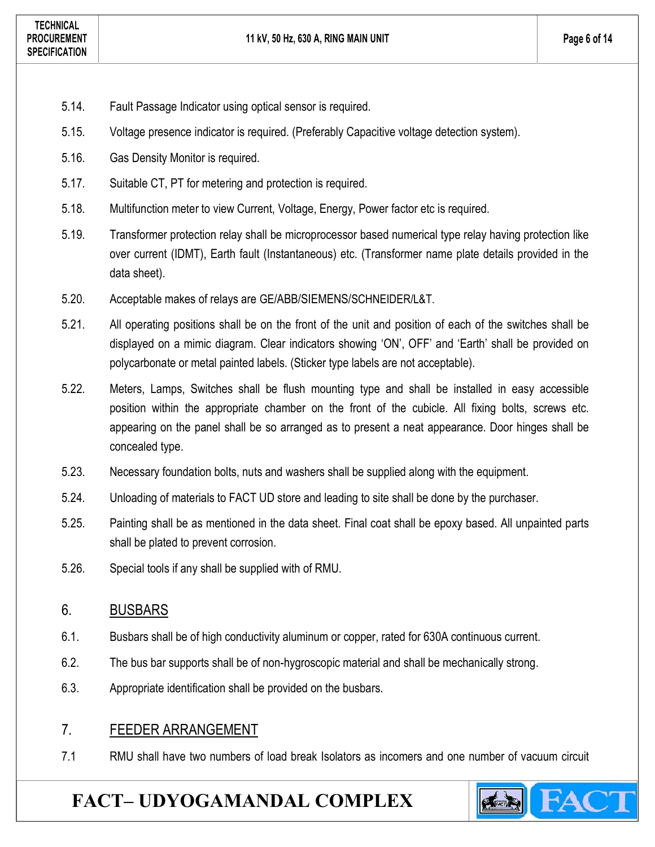- 5.14. Fault Passage Indicator using optical sensor is required.
- 5.15. Voltage presence indicator is required. (Preferably Capacitive voltage detection system).
- 5.16. Gas Density Monitor is required.
- 5.17. Suitable CT, PT for metering and protection is required.
- 5.18. Multifunction meter to view Current, Voltage, Energy, Power factor etc is required.
- 5.19. Transformer protection relay shall be microprocessor based numerical type relay having protection like over current (IDMT), Earth fault (Instantaneous) etc. (Transformer name plate details provided in the data sheet).
- 5.20. Acceptable makes of relays are GE/ABB/SIEMENS/SCHNEIDER/L&T.
- 5.21. All operating positions shall be on the front of the unit and position of each of the switches shall be displayed on a mimic diagram. Clear indicators showing 'ON', OFF' and 'Earth' shall be provided on polycarbonate or metal painted labels. (Sticker type labels are not acceptable).
- 5.22. Meters, Lamps, Switches shall be flush mounting type and shall be installed in easy accessible position within the appropriate chamber on the front of the cubicle. All fixing bolts, screws etc. appearing on the panel shall be so arranged as to present a neat appearance. Door hinges shall be concealed type.
- 5.23. Necessary foundation bolts, nuts and washers shall be supplied along with the equipment.
- 5.24. Unloading of materials to FACT UD store and leading to site shall be done by the purchaser.
- 5.25. Painting shall be as mentioned in the data sheet. Final coat shall be epoxy based. All unpainted parts shall be plated to prevent corrosion.
- 5.26. Special tools if any shall be supplied with of RMU.

#### 6. BUSBARS

- 6.1. Busbars shall be of high conductivity aluminum or copper, rated for 630A continuous current.
- 6.2. The bus bar supports shall be of non-hygroscopic material and shall be mechanically strong.
- 6.3. Appropriate identification shall be provided on the busbars.

#### 7. FEEDER ARRANGEMENT

7.1 RMU shall have two numbers of load break Isolators as incomers and one number of vacuum circuit

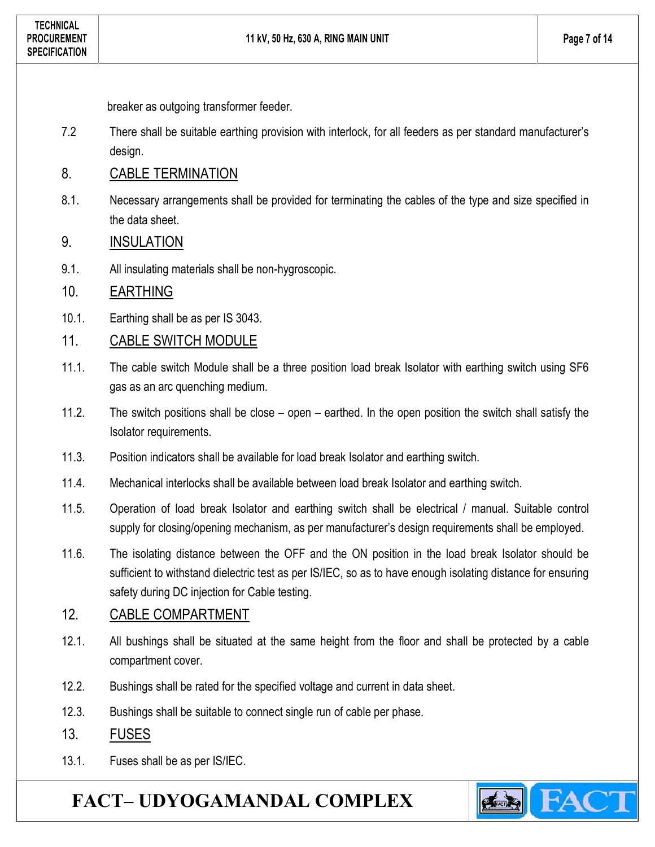breaker as outgoing transformer feeder.

- 7.2 There shall be suitable earthing provision with interlock, for all feeders as per standard manufacturer's design.
- 8. CABLE TERMINATION
- 8.1. Necessary arrangements shall be provided for terminating the cables of the type and size specified in the data sheet.
- 9. INSULATION
- 9.1. All insulating materials shall be non-hygroscopic.

### 10. EARTHING

- 10.1. Earthing shall be as per IS 3043.
- 11. CABLE SWITCH MODULE
- 11.1. The cable switch Module shall be a three position load break Isolator with earthing switch using SF6 gas as an arc quenching medium.
- 11.2. The switch positions shall be close open earthed. In the open position the switch shall satisfy the Isolator requirements.
- 11.3. Position indicators shall be available for load break Isolator and earthing switch.
- 11.4. Mechanical interlocks shall be available between load break Isolator and earthing switch.
- 11.5. Operation of load break Isolator and earthing switch shall be electrical / manual. Suitable control supply for closing/opening mechanism, as per manufacturer's design requirements shall be employed.
- 11.6. The isolating distance between the OFF and the ON position in the load break Isolator should be sufficient to withstand dielectric test as per IS/IEC, so as to have enough isolating distance for ensuring safety during DC injection for Cable testing.

## 12. CABLE COMPARTMENT

- 12.1. All bushings shall be situated at the same height from the floor and shall be protected by a cable compartment cover.
- 12.2. Bushings shall be rated for the specified voltage and current in data sheet.
- 12.3. Bushings shall be suitable to connect single run of cable per phase.
- 13. FUSES
- 13.1. Fuses shall be as per IS/IEC.

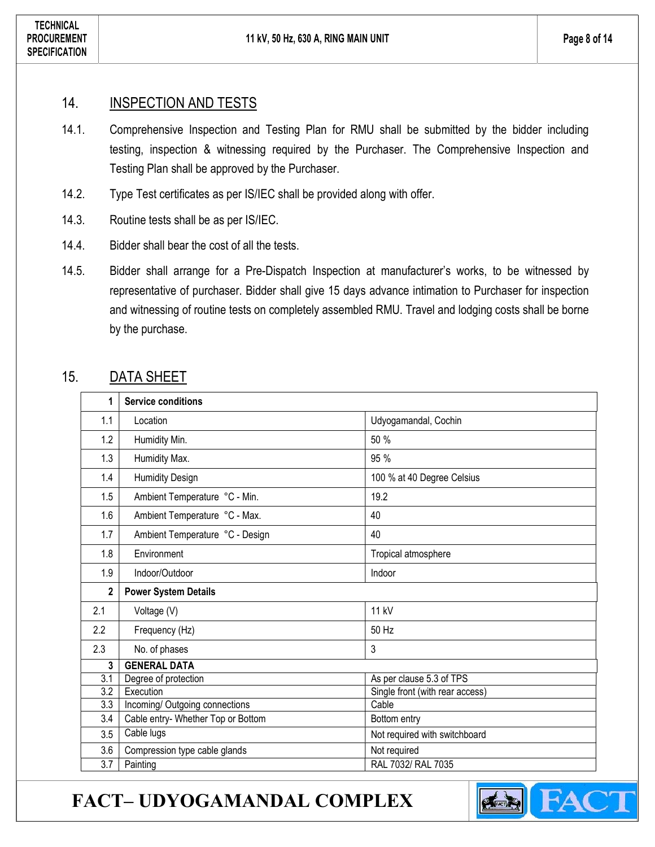#### 14. **INSPECTION AND TESTS**

- 14.1. Comprehensive Inspection and Testing Plan for RMU shall be submitted by the bidder including testing, inspection & witnessing required by the Purchaser. The Comprehensive Inspection and Testing Plan shall be approved by the Purchaser.
- 14.2. Type Test certificates as per IS/IEC shall be provided along with offer.
- 14.3. Routine tests shall be as per IS/IEC.
- 14.4. Bidder shall bear the cost of all the tests.
- 14.5. Bidder shall arrange for a Pre-Dispatch Inspection at manufacturer's works, to be witnessed by representative of purchaser. Bidder shall give 15 days advance intimation to Purchaser for inspection and witnessing of routine tests on completely assembled RMU. Travel and lodging costs shall be borne by the purchase.

### 15. DATA SHEET

| 1                | <b>Service conditions</b>          |                                 |
|------------------|------------------------------------|---------------------------------|
| 1.1              | Location                           | Udyogamandal, Cochin            |
| 1.2              | Humidity Min.                      | 50 %                            |
| 1.3              | Humidity Max.                      | 95 %                            |
| 1.4              | <b>Humidity Design</b>             | 100 % at 40 Degree Celsius      |
| 1.5              | Ambient Temperature °C - Min.      | 19.2                            |
| 1.6              | Ambient Temperature °C - Max.      | 40                              |
| 1.7              | Ambient Temperature °C - Design    | 40                              |
| 1.8              | Environment                        | Tropical atmosphere             |
| 1.9              | Indoor/Outdoor                     | Indoor                          |
| $\overline{2}$   | <b>Power System Details</b>        |                                 |
| 2.1              | Voltage (V)                        | 11 kV                           |
| 2.2              | Frequency (Hz)                     | 50 Hz                           |
| 2.3              |                                    |                                 |
|                  | No. of phases                      | 3                               |
| 3                | <b>GENERAL DATA</b>                |                                 |
| $\overline{3.1}$ | Degree of protection               | As per clause 5.3 of TPS        |
| $\overline{3.2}$ | Execution                          | Single front (with rear access) |
| $\overline{3.3}$ | Incoming/ Outgoing connections     | Cable                           |
| 3.4              | Cable entry- Whether Top or Bottom | Bottom entry                    |
| 3.5              | Cable lugs                         | Not required with switchboard   |
| 3.6              | Compression type cable glands      | Not required                    |

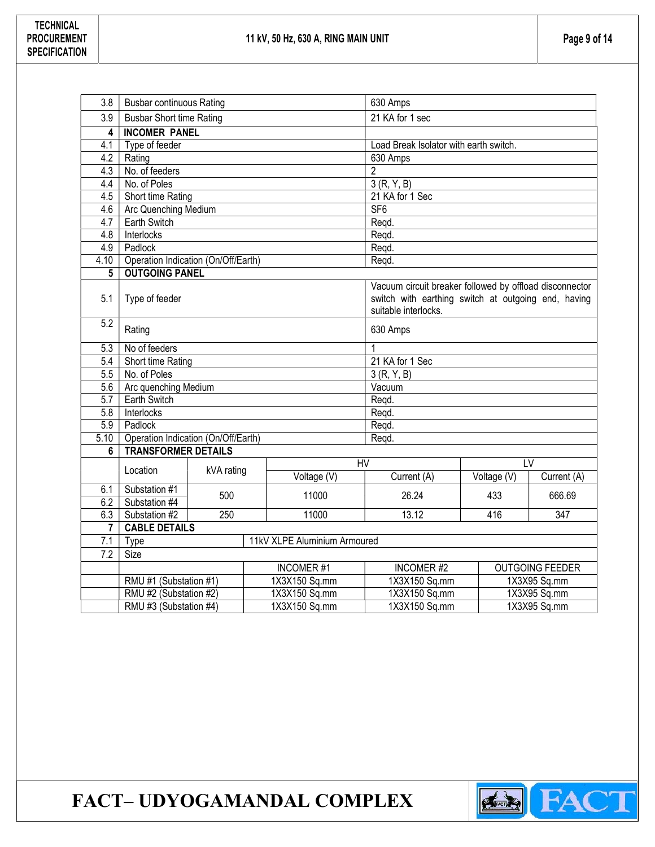| 3.8                     | <b>Busbar continuous Rating</b>                                   |            | 630 Amps |                               |                                                                             |             |             |  |  |
|-------------------------|-------------------------------------------------------------------|------------|----------|-------------------------------|-----------------------------------------------------------------------------|-------------|-------------|--|--|
| 3.9                     | <b>Busbar Short time Rating</b>                                   |            |          | 21 KA for 1 sec               |                                                                             |             |             |  |  |
| 4                       | <b>INCOMER PANEL</b>                                              |            |          |                               |                                                                             |             |             |  |  |
| 4.1                     | Type of feeder                                                    |            |          |                               | Load Break Isolator with earth switch.                                      |             |             |  |  |
| 4.2                     | Rating                                                            |            |          |                               | 630 Amps                                                                    |             |             |  |  |
| 4.3                     | No. of feeders                                                    |            |          |                               | $\overline{2}$                                                              |             |             |  |  |
| 4.4                     | No. of Poles                                                      |            |          |                               | 3(R, Y, B)                                                                  |             |             |  |  |
| 4.5                     | Short time Rating                                                 |            |          |                               | 21 KA for 1 Sec                                                             |             |             |  |  |
| 4.6                     | Arc Quenching Medium                                              |            |          |                               | SF <sub>6</sub>                                                             |             |             |  |  |
| 4.7                     | Earth Switch                                                      |            |          |                               | Regd.                                                                       |             |             |  |  |
| 4.8                     | Interlocks                                                        |            |          |                               | Regd.                                                                       |             |             |  |  |
| 4.9                     | Padlock                                                           |            |          |                               | Regd.                                                                       |             |             |  |  |
| 4.10                    | Operation Indication (On/Off/Earth)                               |            |          |                               | Regd.                                                                       |             |             |  |  |
| 5                       | <b>OUTGOING PANEL</b>                                             |            |          |                               |                                                                             |             |             |  |  |
| 5.1                     | Type of feeder                                                    |            |          |                               | Vacuum circuit breaker followed by offload disconnector                     |             |             |  |  |
|                         |                                                                   |            |          |                               | switch with earthing switch at outgoing end, having<br>suitable interlocks. |             |             |  |  |
| 5.2                     |                                                                   |            | 630 Amps |                               |                                                                             |             |             |  |  |
|                         | Rating                                                            |            |          |                               |                                                                             |             |             |  |  |
| 5.3                     | No of feeders                                                     |            |          | 1                             |                                                                             |             |             |  |  |
| 5.4                     | Short time Rating                                                 |            |          | 21 KA for 1 Sec               |                                                                             |             |             |  |  |
| $\overline{5.5}$        | No. of Poles                                                      |            |          |                               | 3(R, Y, B)                                                                  |             |             |  |  |
| 5.6                     | Arc quenching Medium                                              |            |          |                               | Vacuum                                                                      |             |             |  |  |
| $\overline{5.7}$        | Earth Switch                                                      |            |          |                               | Regd.                                                                       |             |             |  |  |
| 5.8<br>$\overline{5.9}$ | Interlocks                                                        |            |          |                               | Regd.                                                                       |             |             |  |  |
| 5.10                    | Padlock                                                           |            |          |                               | Regd.                                                                       |             |             |  |  |
| 6                       | Operation Indication (On/Off/Earth)<br><b>TRANSFORMER DETAILS</b> |            |          |                               | Regd.                                                                       |             |             |  |  |
|                         |                                                                   |            |          | HV                            |                                                                             |             | LV          |  |  |
|                         | Location                                                          | kVA rating |          | Voltage (V)                   | Current (A)                                                                 | Voltage (V) | Current (A) |  |  |
| 6.1                     | Substation #1                                                     |            |          |                               |                                                                             |             |             |  |  |
| 6.2                     | Substation #4                                                     | 500        |          | 11000                         | 26.24                                                                       | 433         | 666.69      |  |  |
| 6.3                     | Substation #2                                                     | 250        | 11000    |                               | 13.12                                                                       | 416         | 347         |  |  |
| 7                       | <b>CABLE DETAILS</b>                                              |            |          |                               |                                                                             |             |             |  |  |
| 7.1                     | 11kV XLPE Aluminium Armoured<br><b>Type</b>                       |            |          |                               |                                                                             |             |             |  |  |
| 7.2                     | Size                                                              |            |          |                               |                                                                             |             |             |  |  |
|                         | <b>OUTGOING FEEDER</b><br><b>INCOMER#1</b><br><b>INCOMER#2</b>    |            |          |                               |                                                                             |             |             |  |  |
|                         | RMU #1 (Substation #1)<br>1X3X150 Sq.mm                           |            |          | 1X3X150 Sq.mm<br>1X3X95 Sq.mm |                                                                             |             |             |  |  |
|                         | RMU #2 (Substation #2)<br>1X3X150 Sq.mm                           |            |          | 1X3X95 Sq.mm<br>1X3X150 Sq.mm |                                                                             |             |             |  |  |
|                         | RMU #3 (Substation #4)                                            |            |          | 1X3X150 Sq.mm                 | 1X3X150 Sq.mm<br>1X3X95 Sq.mm                                               |             |             |  |  |

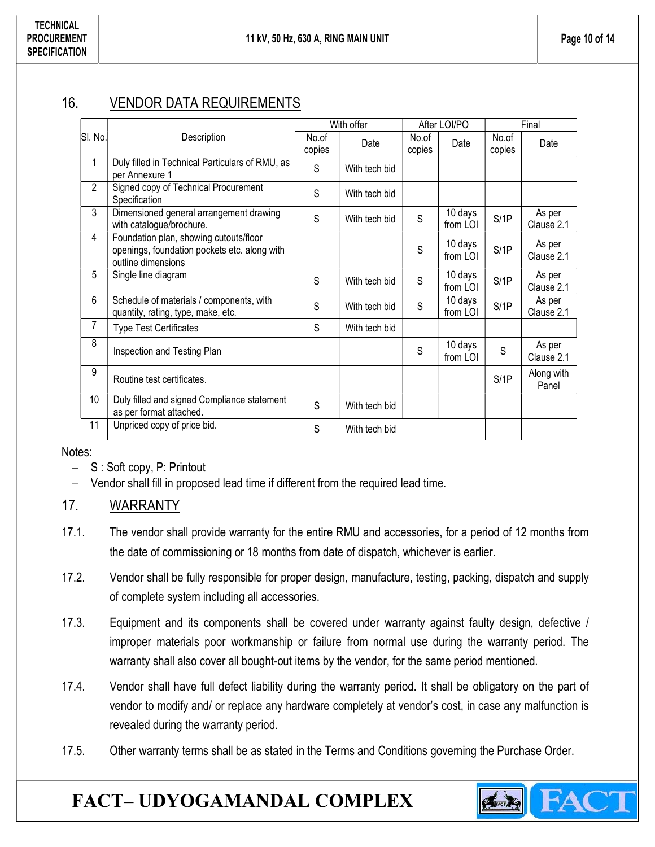## 16. VENDOR DATA REQUIREMENTS

|                 |                                                                                                              | With offer |               | After LOI/PO    |                     | Final           |                      |
|-----------------|--------------------------------------------------------------------------------------------------------------|------------|---------------|-----------------|---------------------|-----------------|----------------------|
| SI. No.         | Description<br>copies                                                                                        |            | Date          | No.of<br>copies | Date                | No.of<br>copies | Date                 |
| 1               | Duly filled in Technical Particulars of RMU, as<br>per Annexure 1                                            | S          | With tech bid |                 |                     |                 |                      |
| $\overline{2}$  | Signed copy of Technical Procurement<br>Specification                                                        | S          | With tech bid |                 |                     |                 |                      |
| 3               | Dimensioned general arrangement drawing<br>with catalogue/brochure.                                          | S          | With tech bid | S               | 10 days<br>from LOI | S/1P            | As per<br>Clause 2.1 |
| 4               | Foundation plan, showing cutouts/floor<br>openings, foundation pockets etc. along with<br>outline dimensions |            |               | S               | 10 days<br>from LOI | S/1P            | As per<br>Clause 2.1 |
| 5               | Single line diagram                                                                                          | S          | With tech bid | S               | 10 days<br>from LOI | S/1P            | As per<br>Clause 2.1 |
| 6               | Schedule of materials / components, with<br>quantity, rating, type, make, etc.                               | S          | With tech bid | S               | 10 days<br>from LOI | S/1P            | As per<br>Clause 2.1 |
| 7               | <b>Type Test Certificates</b>                                                                                | S          | With tech bid |                 |                     |                 |                      |
| 8               | Inspection and Testing Plan                                                                                  |            |               | S               | 10 days<br>from LOI | S               | As per<br>Clause 2.1 |
| 9               | Routine test certificates.                                                                                   |            |               |                 |                     | S/1P            | Along with<br>Panel  |
| 10 <sup>°</sup> | Duly filled and signed Compliance statement<br>as per format attached.                                       | S          | With tech bid |                 |                     |                 |                      |
| 11              | Unpriced copy of price bid.                                                                                  | S          | With tech bid |                 |                     |                 |                      |

Notes:

- $-$  S : Soft copy, P: Printout
- Vendor shall fill in proposed lead time if different from the required lead time.

## 17. WARRANTY

- 17.1. The vendor shall provide warranty for the entire RMU and accessories, for a period of 12 months from the date of commissioning or 18 months from date of dispatch, whichever is earlier.
- 17.2. Vendor shall be fully responsible for proper design, manufacture, testing, packing, dispatch and supply of complete system including all accessories.
- 17.3. Equipment and its components shall be covered under warranty against faulty design, defective / improper materials poor workmanship or failure from normal use during the warranty period. The warranty shall also cover all bought-out items by the vendor, for the same period mentioned.
- 17.4. Vendor shall have full defect liability during the warranty period. It shall be obligatory on the part of vendor to modify and/ or replace any hardware completely at vendor's cost, in case any malfunction is revealed during the warranty period.
- 17.5. Other warranty terms shall be as stated in the Terms and Conditions governing the Purchase Order.

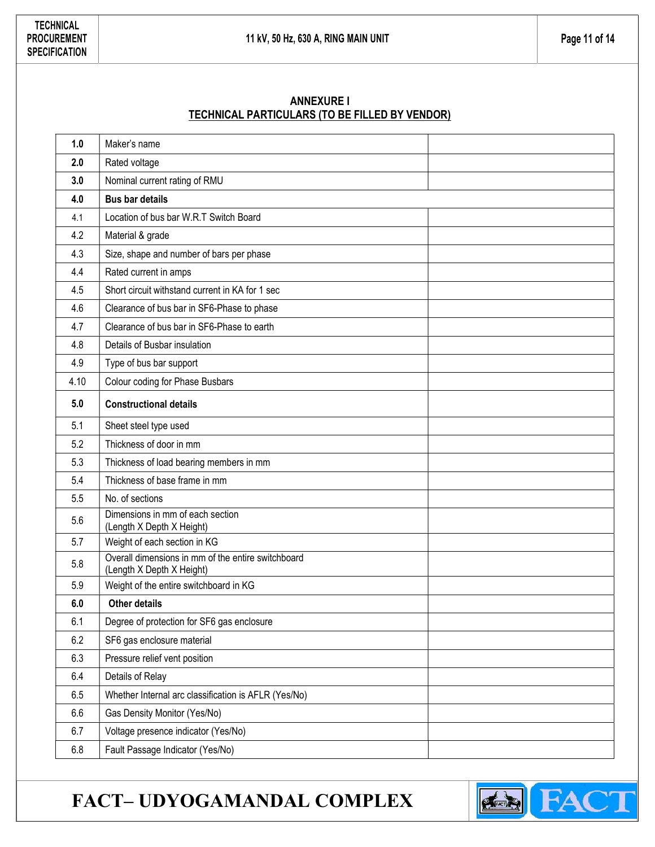#### ANNEXURE I TECHNICAL PARTICULARS (TO BE FILLED BY VENDOR)

| 1.0  | Maker's name                                                                    |  |  |  |  |
|------|---------------------------------------------------------------------------------|--|--|--|--|
| 2.0  | Rated voltage                                                                   |  |  |  |  |
| 3.0  | Nominal current rating of RMU                                                   |  |  |  |  |
| 4.0  | <b>Bus bar details</b>                                                          |  |  |  |  |
| 4.1  | Location of bus bar W.R.T Switch Board                                          |  |  |  |  |
| 4.2  | Material & grade                                                                |  |  |  |  |
| 4.3  | Size, shape and number of bars per phase                                        |  |  |  |  |
| 4.4  | Rated current in amps                                                           |  |  |  |  |
| 4.5  | Short circuit withstand current in KA for 1 sec                                 |  |  |  |  |
| 4.6  | Clearance of bus bar in SF6-Phase to phase                                      |  |  |  |  |
| 4.7  | Clearance of bus bar in SF6-Phase to earth                                      |  |  |  |  |
| 4.8  | Details of Busbar insulation                                                    |  |  |  |  |
| 4.9  | Type of bus bar support                                                         |  |  |  |  |
| 4.10 | Colour coding for Phase Busbars                                                 |  |  |  |  |
| 5.0  | <b>Constructional details</b>                                                   |  |  |  |  |
| 5.1  | Sheet steel type used                                                           |  |  |  |  |
| 5.2  | Thickness of door in mm                                                         |  |  |  |  |
| 5.3  | Thickness of load bearing members in mm                                         |  |  |  |  |
| 5.4  | Thickness of base frame in mm                                                   |  |  |  |  |
| 5.5  | No. of sections                                                                 |  |  |  |  |
| 5.6  | Dimensions in mm of each section<br>(Length X Depth X Height)                   |  |  |  |  |
| 5.7  | Weight of each section in KG                                                    |  |  |  |  |
| 5.8  | Overall dimensions in mm of the entire switchboard<br>(Length X Depth X Height) |  |  |  |  |
| 5.9  | Weight of the entire switchboard in KG                                          |  |  |  |  |
| 6.0  | <b>Other details</b>                                                            |  |  |  |  |
| 6.1  | Degree of protection for SF6 gas enclosure                                      |  |  |  |  |
| 6.2  | SF6 gas enclosure material                                                      |  |  |  |  |
| 6.3  | Pressure relief vent position                                                   |  |  |  |  |
| 6.4  | Details of Relay                                                                |  |  |  |  |
| 6.5  | Whether Internal arc classification is AFLR (Yes/No)                            |  |  |  |  |
| 6.6  | Gas Density Monitor (Yes/No)                                                    |  |  |  |  |
| 6.7  | Voltage presence indicator (Yes/No)                                             |  |  |  |  |
| 6.8  | Fault Passage Indicator (Yes/No)                                                |  |  |  |  |

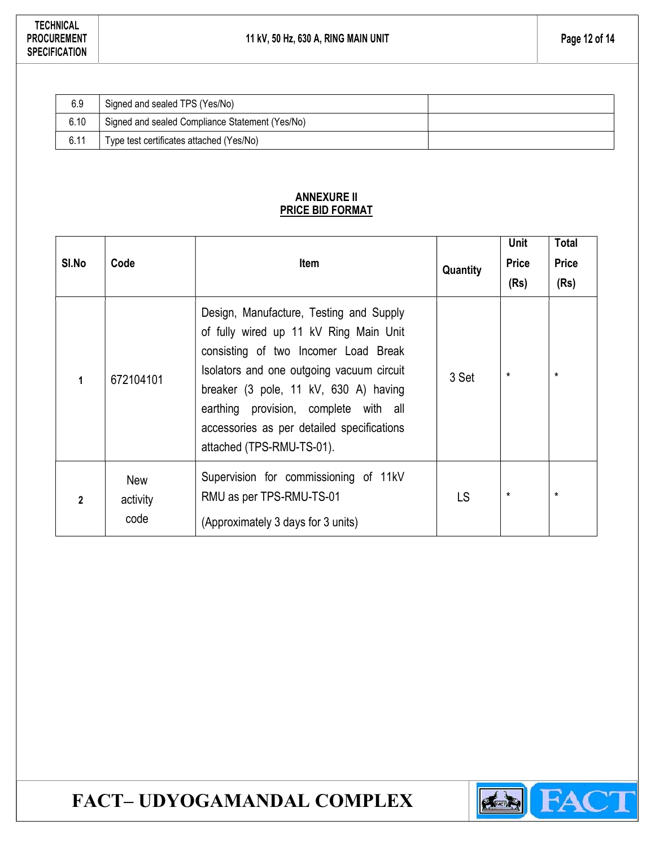| 6.9  | Signed and sealed TPS (Yes/No)                  |  |
|------|-------------------------------------------------|--|
| 6.10 | Signed and sealed Compliance Statement (Yes/No) |  |
| 6.11 | Type test certificates attached (Yes/No)        |  |

#### ANNEXURE II PRICE BID FORMAT

| SI.No          | Code                           | Item                                                                                                                                                                                                                                                                                                                                | Quantity | <b>Unit</b><br><b>Price</b><br>(Rs) | <b>Total</b><br><b>Price</b><br>(Rs) |
|----------------|--------------------------------|-------------------------------------------------------------------------------------------------------------------------------------------------------------------------------------------------------------------------------------------------------------------------------------------------------------------------------------|----------|-------------------------------------|--------------------------------------|
| 1              | 672104101                      | Design, Manufacture, Testing and Supply<br>of fully wired up 11 kV Ring Main Unit<br>consisting of two Incomer Load Break<br>Isolators and one outgoing vacuum circuit<br>breaker (3 pole, 11 kV, 630 A) having<br>earthing provision, complete with all<br>accessories as per detailed specifications<br>attached (TPS-RMU-TS-01). | 3 Set    | $^\star$                            | $\star$                              |
| $\overline{2}$ | <b>New</b><br>activity<br>code | Supervision for commissioning of 11kV<br>RMU as per TPS-RMU-TS-01<br>(Approximately 3 days for 3 units)                                                                                                                                                                                                                             | LS       | $^\star$                            | $\star$                              |

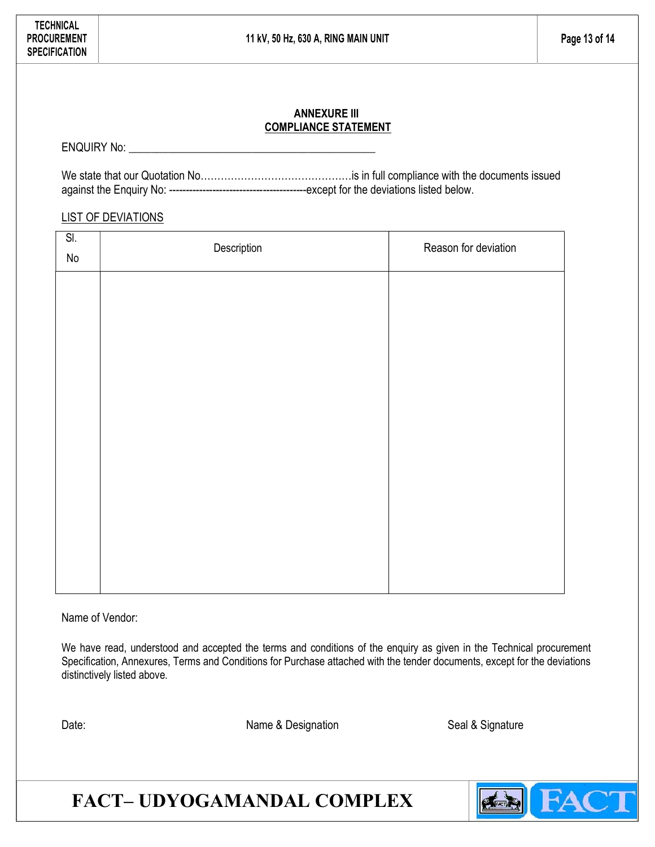#### ANNEXURE III COMPLIANCE STATEMENT

ENQUIRY No:

We state that our Quotation No………………………………………is in full compliance with the documents issued against the Enquiry No: -----------------------------------------except for the deviations listed below.

#### LIST OF DEVIATIONS

| SI.<br>No | Description | Reason for deviation |
|-----------|-------------|----------------------|
|           |             |                      |
|           |             |                      |
|           |             |                      |
|           |             |                      |
|           |             |                      |
|           |             |                      |
|           |             |                      |
|           |             |                      |

Name of Vendor:

We have read, understood and accepted the terms and conditions of the enquiry as given in the Technical procurement Specification, Annexures, Terms and Conditions for Purchase attached with the tender documents, except for the deviations distinctively listed above.

Date: Name & Designation Seal & Signature Seal & Signature